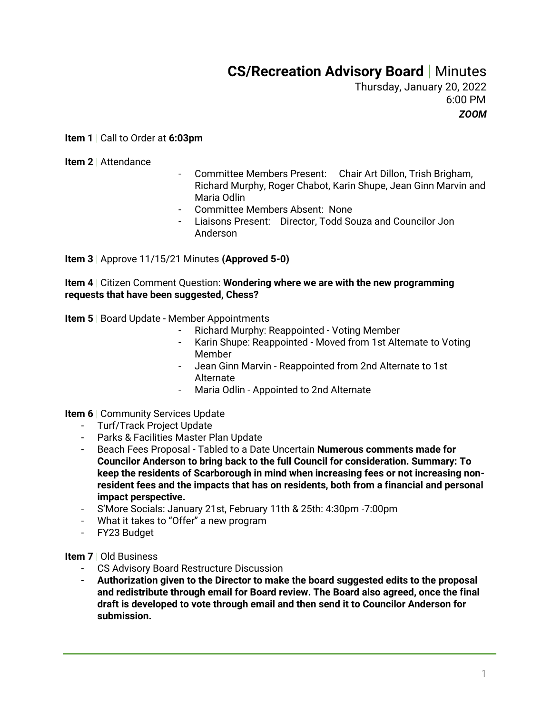## **CS/Recreation Advisory Board** | Minutes

Thursday, January 20, 2022 6:00 PM *ZOOM*

**Item 1** | Call to Order at **6:03pm**

**Item 2** | Attendance

- Committee Members Present: Chair Art Dillon, Trish Brigham, Richard Murphy, Roger Chabot, Karin Shupe, Jean Ginn Marvin and Maria Odlin
- Committee Members Absent: None
- Liaisons Present: Director, Todd Souza and Councilor Jon Anderson

**Item 3** | Approve 11/15/21 Minutes **(Approved 5-0)**

**Item 4** | Citizen Comment Question: **Wondering where we are with the new programming requests that have been suggested, Chess?**

**Item 5** | Board Update - Member Appointments

- Richard Murphy: Reappointed Voting Member
- Karin Shupe: Reappointed Moved from 1st Alternate to Voting Member
- Jean Ginn Marvin Reappointed from 2nd Alternate to 1st Alternate
- Maria Odlin Appointed to 2nd Alternate

**Item 6** | Community Services Update

- Turf/Track Project Update
- Parks & Facilities Master Plan Update
- Beach Fees Proposal Tabled to a Date Uncertain **Numerous comments made for Councilor Anderson to bring back to the full Council for consideration. Summary: To keep the residents of Scarborough in mind when increasing fees or not increasing nonresident fees and the impacts that has on residents, both from a financial and personal impact perspective.**
- S'More Socials: January 21st, February 11th & 25th: 4:30pm -7:00pm
- What it takes to "Offer" a new program
- FY23 Budget

**Item 7** | Old Business

- CS Advisory Board Restructure Discussion
- **Authorization given to the Director to make the board suggested edits to the proposal and redistribute through email for Board review. The Board also agreed, once the final draft is developed to vote through email and then send it to Councilor Anderson for submission.**